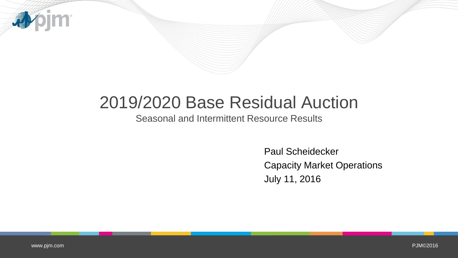

## 2019/2020 Base Residual Auction

Seasonal and Intermittent Resource Results

Paul Scheidecker Capacity Market Operations July 11, 2016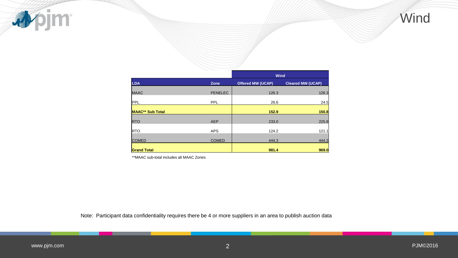

|                         |                | Wind                     |                          |  |  |  |
|-------------------------|----------------|--------------------------|--------------------------|--|--|--|
| <b>LDA</b>              | Zone           | <b>Offered MW (UCAP)</b> | <b>Cleared MW (UCAP)</b> |  |  |  |
| <b>MAAC</b>             | <b>PENELEC</b> | 126.3                    | 126.3                    |  |  |  |
| PPL                     | PPL            | 26.6                     | 24.5                     |  |  |  |
| <b>MAAC** Sub Total</b> |                | 152.9                    | 150.8                    |  |  |  |
| <b>RTO</b>              | <b>AEP</b>     | 233.0                    | 225.8                    |  |  |  |
| <b>RTO</b>              | <b>APS</b>     | 124.2                    | 121.1                    |  |  |  |
| <b>COMED</b>            | <b>COMED</b>   | 444.3                    | 444.3                    |  |  |  |
| <b>Grand Total</b>      |                | 981.4                    | 969.0                    |  |  |  |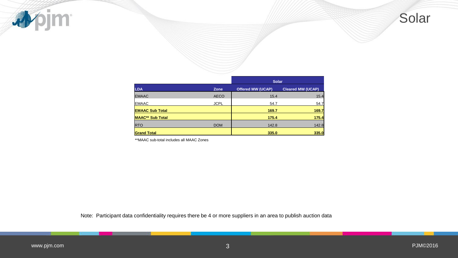

|                         |             | <b>Solar</b>             |                          |  |  |  |
|-------------------------|-------------|--------------------------|--------------------------|--|--|--|
| <b>LDA</b>              | Zone        | <b>Offered MW (UCAP)</b> | <b>Cleared MW (UCAP)</b> |  |  |  |
| <b>EMAAC</b>            | <b>AECO</b> | 15.4                     | 15.4                     |  |  |  |
| <b>IEMAAC</b>           | <b>JCPL</b> | 54.7                     | 54.7                     |  |  |  |
| <b>EMAAC Sub Total</b>  |             | 169.7                    | 169.7                    |  |  |  |
| <b>MAAC** Sub Total</b> |             | 175.4                    | 175.4                    |  |  |  |
| <b>RTO</b>              | <b>DOM</b>  | 142.8                    | 142.8                    |  |  |  |
| <b>Grand Total</b>      |             | 335.0                    | 335.0                    |  |  |  |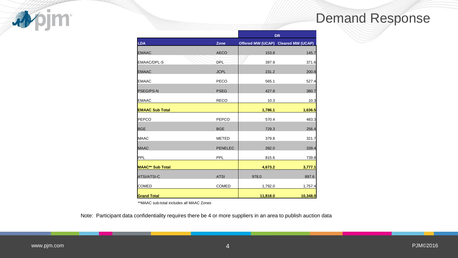

|                         |                | <b>DR</b> |                                     |  |  |
|-------------------------|----------------|-----------|-------------------------------------|--|--|
| <b>LDA</b>              | Zone           |           | Offered MW (UCAP) Cleared MW (UCAP) |  |  |
| <b>EMAAC</b>            | <b>AECO</b>    | 153.8     | 145.7                               |  |  |
| <b>EMAAC/DPL-S</b>      | <b>DPL</b>     | 397.9     | 371.6                               |  |  |
| <b>EMAAC</b>            | <b>JCPL</b>    | 231.2     | 200.8                               |  |  |
| <b>EMAAC</b>            | <b>PECO</b>    | 565.1     | 527.4                               |  |  |
| <b>PSEG/PS-N</b>        | <b>PSEG</b>    | 427.8     | 380.7                               |  |  |
| <b>EMAAC</b>            | <b>RECO</b>    | 10.3      | 10.3                                |  |  |
| <b>EMAAC Sub Total</b>  |                | 1,786.1   | 1,636.5                             |  |  |
| PEPCO                   | <b>PEPCO</b>   | 570.4     | 483.3                               |  |  |
| <b>BGE</b>              | <b>BGE</b>     | 729.3     | 256.4                               |  |  |
| <b>MAAC</b>             | <b>METED</b>   | 379.8     | 321.7                               |  |  |
| <b>MAAC</b>             | <b>PENELEC</b> | 392.0     | 339.4                               |  |  |
| PPL                     | <b>PPL</b>     | 815.6     | 739.8                               |  |  |
| <b>MAAC** Sub Total</b> |                | 4,673.2   | 3,777.1                             |  |  |
| <b>ATSI/ATSI-C</b>      | <b>ATSI</b>    | 978.0     | 897.6                               |  |  |
| <b>COMED</b>            | <b>COMED</b>   | 1,792.0   | 1,757.4                             |  |  |
| <b>Grand Total</b>      |                | 11,818.0  | 10,348.0                            |  |  |

Note: Participant data confidentiality requires there be 4 or more suppliers in an area to publish auction data

**pjm** 

小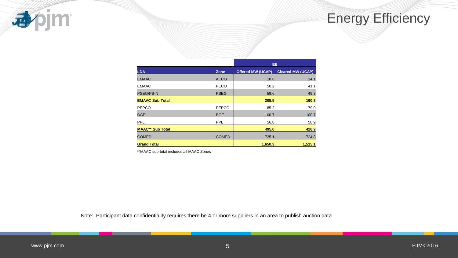

## Energy Efficiency

|                         |              | <b>EE</b>                |                          |  |
|-------------------------|--------------|--------------------------|--------------------------|--|
| <b>LDA</b>              | Zone         | <b>Offered MW (UCAP)</b> | <b>Cleared MW (UCAP)</b> |  |
| <b>EMAAC</b>            | <b>AECO</b>  | 18.6                     | 14.1                     |  |
| <b>IEMAAC</b>           | <b>PECO</b>  | 50.2                     | 41.1                     |  |
| <b>PSEG/PS-N</b>        | <b>PSEG</b>  | 59.6                     | 49.3                     |  |
| <b>EMAAC Sub Total</b>  |              | 205.5                    | 160.8                    |  |
| <b>PEPCO</b>            | PEPCO        | 85.2                     | 79.0                     |  |
| <b>BGE</b>              | <b>BGE</b>   | 100.7                    | 100.7                    |  |
| <b>IPPL</b>             | <b>PPL</b>   | 56.8                     | 50.9                     |  |
| <b>MAAC** Sub Total</b> |              | 495.0                    | 426.9                    |  |
| <b>COMED</b>            | <b>COMED</b> | 725.1                    | 724.8                    |  |
| <b>Grand Total</b>      |              | 1,650.3                  | 1,515.1                  |  |

\*\*MAAC sub-total includes all MAAC Zones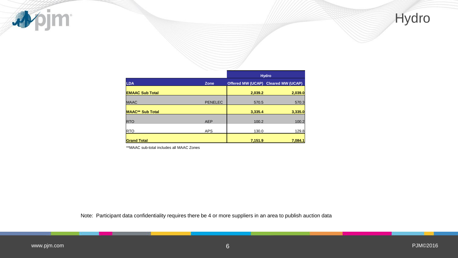

|                         |                | <b>Hydro</b> |                                     |  |
|-------------------------|----------------|--------------|-------------------------------------|--|
| <b>LDA</b>              | Zone           |              | Offered MW (UCAP) Cleared MW (UCAP) |  |
| <b>EMAAC Sub Total</b>  |                | 2,039.2      | 2,039.0                             |  |
| <b>MAAC</b>             | <b>PENELEC</b> | 570.5        | 570.3                               |  |
| <b>MAAC** Sub Total</b> |                | 3,335.4      | 3,335.0                             |  |
| <b>RTO</b>              | <b>AEP</b>     | 100.2        | 100.2                               |  |
| <b>I</b> RTO            | <b>APS</b>     | 130.0        | 129.8                               |  |
| <b>Grand Total</b>      |                | 7,151.9      | 7,084.1                             |  |